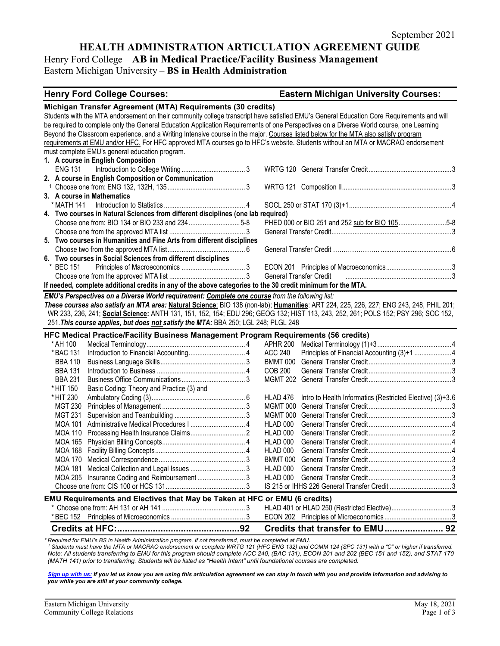## **HEALTH ADMINISTRATION ARTICULATION AGREEMENT GUIDE**

# Henry Ford College – **AB in Medical Practice/Facility Business Management**

Eastern Michigan University – **BS in Health Administration**

#### **Henry Ford College Courses: Eastern Michigan University Courses:**

| Michigan Transfer Agreement (MTA) Requirements (30 credits)                                                                               |                                                                       |  |  |  |
|-------------------------------------------------------------------------------------------------------------------------------------------|-----------------------------------------------------------------------|--|--|--|
| Students with the MTA endorsement on their community college transcript have satisfied EMU's General Education Core Requirements and will |                                                                       |  |  |  |
| be required to complete only the General Education Application Requirements of one Perspectives on a Diverse World course, one Learning   |                                                                       |  |  |  |
| Beyond the Classroom experience, and a Writing Intensive course in the major. Courses listed below for the MTA also satisfy program       |                                                                       |  |  |  |
| requirements at EMU and/or HFC. For HFC approved MTA courses go to HFC's website. Students without an MTA or MACRAO endorsement           |                                                                       |  |  |  |
| must complete EMU's general education program.                                                                                            |                                                                       |  |  |  |
| 1. A course in English Composition                                                                                                        |                                                                       |  |  |  |
| <b>ENG 131</b>                                                                                                                            |                                                                       |  |  |  |
| 2. A course in English Composition or Communication                                                                                       |                                                                       |  |  |  |
|                                                                                                                                           |                                                                       |  |  |  |
| 3. A course in Mathematics                                                                                                                |                                                                       |  |  |  |
|                                                                                                                                           |                                                                       |  |  |  |
| 4. Two courses in Natural Sciences from different disciplines (one lab required)                                                          |                                                                       |  |  |  |
| Choose one from: BIO 134 or BIO 233 and 2345-8                                                                                            | PHED 000 or BIO 251 and 252 sub for BIO 1055-8                        |  |  |  |
|                                                                                                                                           |                                                                       |  |  |  |
| 5. Two courses in Humanities and Fine Arts from different disciplines                                                                     |                                                                       |  |  |  |
|                                                                                                                                           |                                                                       |  |  |  |
| 6. Two courses in Social Sciences from different disciplines                                                                              |                                                                       |  |  |  |
| * BEC 151                                                                                                                                 |                                                                       |  |  |  |
|                                                                                                                                           | <b>General Transfer Credit</b>                                        |  |  |  |
| If needed, complete additional credits in any of the above categories to the 30 credit minimum for the MTA.                               |                                                                       |  |  |  |
| EMU's Perspectives on a Diverse World requirement: Complete one course from the following list:                                           |                                                                       |  |  |  |
| These courses also satisfy an MTA area: Natural Science: BIO 138 (non-lab); Humanities: ART 224, 225, 226, 227; ENG 243, 248, PHIL 201;   |                                                                       |  |  |  |
| WR 233, 236, 241; Social Science: ANTH 131, 151, 152, 154; EDU 296; GEOG 132; HIST 113, 243, 252, 261; POLS 152; PSY 296; SOC 152,        |                                                                       |  |  |  |
| 251. This course applies, but does not satisfy the MTA: BBA 250; LGL 248; PLGL 248                                                        |                                                                       |  |  |  |
| HFC Medical Practice/Facility Business Management Program Requirements (56 credits)                                                       |                                                                       |  |  |  |
| * AH 100                                                                                                                                  | APHR 200                                                              |  |  |  |
| * BAC 131                                                                                                                                 | <b>ACC 240</b><br>Principles of Financial Accounting (3)+1 4          |  |  |  |
| <b>BBA 110</b>                                                                                                                            | <b>BMMT 000</b>                                                       |  |  |  |
| <b>BBA 131</b>                                                                                                                            | <b>COB 200</b>                                                        |  |  |  |
| <b>BBA 231</b>                                                                                                                            |                                                                       |  |  |  |
| Basic Coding: Theory and Practice (3) and<br>* HIT 150                                                                                    |                                                                       |  |  |  |
| * HIT 230                                                                                                                                 | Intro to Health Informatics (Restricted Elective) (3)+3.6<br>HLAD 476 |  |  |  |
| <b>MGT 230</b>                                                                                                                            | MGMT 000                                                              |  |  |  |
| <b>MGT 231</b>                                                                                                                            | MGMT 000                                                              |  |  |  |
| <b>MOA 101</b>                                                                                                                            | HLAD 000                                                              |  |  |  |
| <b>MOA 110</b>                                                                                                                            | HLAD 000                                                              |  |  |  |
| <b>MOA 165</b>                                                                                                                            | HLAD 000                                                              |  |  |  |
|                                                                                                                                           | HLAD 000                                                              |  |  |  |
| <b>MOA 168</b>                                                                                                                            | BMMT 000                                                              |  |  |  |
| MOA 170                                                                                                                                   | HI AD 000                                                             |  |  |  |
|                                                                                                                                           |                                                                       |  |  |  |
| MOA 205 Insurance Coding and Reimbursement3                                                                                               |                                                                       |  |  |  |
|                                                                                                                                           |                                                                       |  |  |  |
| EMU Requirements and Electives that May be Taken at HFC or EMU (6 credits)                                                                |                                                                       |  |  |  |
|                                                                                                                                           |                                                                       |  |  |  |
|                                                                                                                                           |                                                                       |  |  |  |
|                                                                                                                                           | Credits that transfer to EMU 92                                       |  |  |  |

\* Required for EMU's BS in Health Administration program. If not transferred, must be completed at EMU.<br>1 Students must have the MTA or MACRAO endorsement or complete WRTG 121 (HFC ENG 132) and COMM 124 (SPC 131) with a "C *Note: All students transferring to EMU for this program should complete ACC 240, (BAC 131), ECON 201 and 202 (BEC 151 and 152), and STAT 170 (MATH 141) prior to transferring. Students will be listed as "Health Intent" until foundational courses are completed.*

*[Sign up with us:](https://www.emich.edu/ccr/articulation-agreements/signup.php) If you let us know you are using this articulation agreement we can stay in touch with you and provide information and advising to you while you are still at your community college.*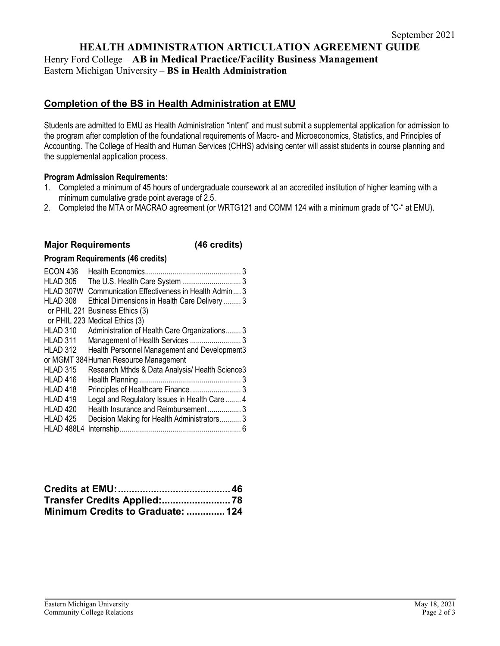## **HEALTH ADMINISTRATION ARTICULATION AGREEMENT GUIDE** Henry Ford College – **AB in Medical Practice/Facility Business Management** Eastern Michigan University – **BS in Health Administration**

# **Completion of the BS in Health Administration at EMU**

Students are admitted to EMU as Health Administration "intent" and must submit a supplemental application for admission to the program after completion of the foundational requirements of Macro- and Microeconomics, Statistics, and Principles of Accounting. The College of Health and Human Services (CHHS) advising center will assist students in course planning and the supplemental application process.

### **Program Admission Requirements:**

- 1. Completed a minimum of 45 hours of undergraduate coursework at an accredited institution of higher learning with a minimum cumulative grade point average of 2.5.
- 2. Completed the MTA or MACRAO agreement (or WRTG121 and COMM 124 with a minimum grade of "C-" at EMU).

## **Major Requirements (46 credits)**

### **Program Requirements (46 credits)**

| <b>ECON 436</b>     | Health Economics<br>3                           |
|---------------------|-------------------------------------------------|
| <b>HLAD 305</b>     |                                                 |
| HLAD 307W           | Communication Effectiveness in Health Admin 3   |
| HLAD 308            | Ethical Dimensions in Health Care Delivery 3    |
|                     | or PHIL 221 Business Ethics (3)                 |
|                     | or PHIL 223 Medical Ethics (3)                  |
| HLAD 310            | Administration of Health Care Organizations 3   |
| HLAD 311            | Management of Health Services  3                |
| HLAD 312            | Health Personnel Management and Development3    |
|                     | or MGMT 384 Human Resource Management           |
| <b>HLAD 315</b>     | Research Mthds & Data Analysis/ Health Science3 |
| HLAD 416            |                                                 |
| <b>HLAD 418</b>     |                                                 |
| HLAD <sub>419</sub> | Legal and Regulatory Issues in Health Care  4   |
| HLAD <sub>420</sub> | Health Insurance and Reimbursement 3            |
| <b>HLAD 425</b>     | Decision Making for Health Administrators 3     |
| HLAD 488L4          |                                                 |

| Minimum Credits to Graduate:  124 |  |
|-----------------------------------|--|